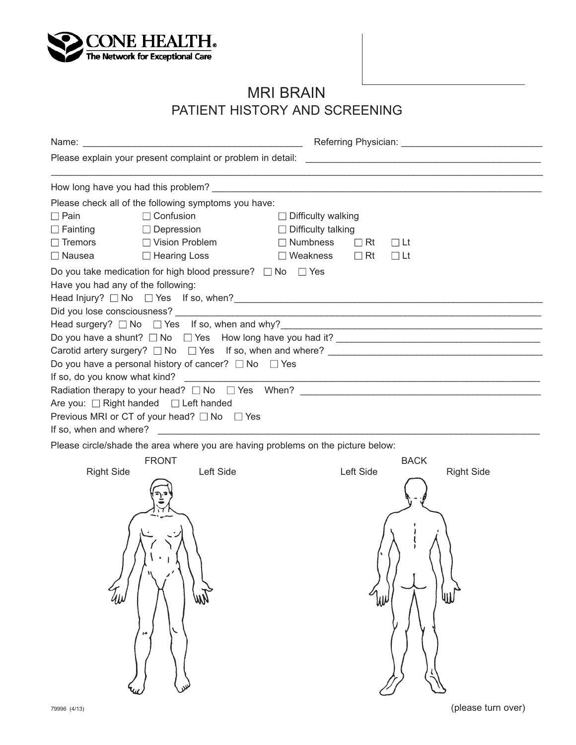

## MRI BRAIN PATIENT HISTORY AND SCREENING

| Please check all of the following symptoms you have:<br>$\Box$ Confusion<br>$\Box$ Pain<br>$\Box$ Difficulty walking<br>$\Box$ Fainting<br>$\Box$ Difficulty talking<br>$\Box$ Depression<br>$\Box$ Tremors $\Box$ Vision Problem<br>$\Box$ Numbness $\Box$ Rt $\Box$ Lt<br>□ Hearing Loss<br>$\Box$ Nausea | $\Box$ Weakness $\Box$ Rt<br>$\Box$ Lt                  |
|-------------------------------------------------------------------------------------------------------------------------------------------------------------------------------------------------------------------------------------------------------------------------------------------------------------|---------------------------------------------------------|
| Do you take medication for high blood pressure? $\Box$ No $\Box$ Yes<br>Have you had any of the following:                                                                                                                                                                                                  |                                                         |
| Do you have a shunt? $\square$ No $\square$ Yes How long have you had it?<br>Carotid artery surgery? $\square$ No $\square$ Yes If so, when and where? $\square$                                                                                                                                            |                                                         |
| Do you have a personal history of cancer? $\Box$ No $\Box$ Yes<br>Are you: □ Right handed □ Left handed<br>Previous MRI or CT of your head? □ No □ Yes                                                                                                                                                      |                                                         |
| Please circle/shade the area where you are having problems on the picture below:                                                                                                                                                                                                                            |                                                         |
| <b>FRONT</b><br>Left Side<br><b>Right Side</b>                                                                                                                                                                                                                                                              | <b>BACK</b><br>Left Side<br><b>Right Side</b><br>⋓<br>W |
|                                                                                                                                                                                                                                                                                                             |                                                         |

(please turn over)